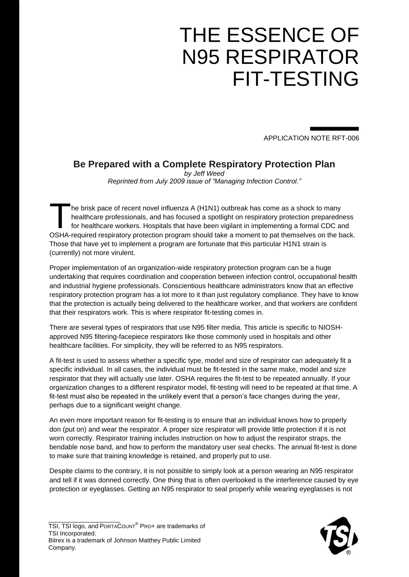# THE ESSENCE OF N95 RESPIRATOR FIT-TESTING

APPLICATION NOTE RFT-006

## **Be Prepared with a Complete Respiratory Protection Plan**

*by Jeff Weed Reprinted from July 2009 issue of "Managing Infection Control."*

he brisk pace of recent novel influenza A (H1N1) outbreak has come as a shock to many healthcare professionals, and has focused a spotlight on respiratory protection preparedness for healthcare workers. Hospitals that have been vigilant in implementing a formal CDC and The brisk pace of recent novel influenza A (H1N1) outbreak has come as a shock to many<br>healthcare professionals, and has focused a spotlight on respiratory protection preparedness<br>for healthcare workers. Hospitals that hav Those that have yet to implement a program are fortunate that this particular H1N1 strain is (currently) not more virulent.

Proper implementation of an organization-wide respiratory protection program can be a huge undertaking that requires coordination and cooperation between infection control, occupational health and industrial hygiene professionals. Conscientious healthcare administrators know that an effective respiratory protection program has a lot more to it than just regulatory compliance. They have to know that the protection is actually being delivered to the healthcare worker, and that workers are confident that their respirators work. This is where respirator fit-testing comes in.

There are several types of respirators that use N95 filter media. This article is specific to NIOSHapproved N95 filtering-facepiece respirators like those commonly used in hospitals and other healthcare facilities. For simplicity, they will be referred to as N95 respirators.

A fit-test is used to assess whether a specific type, model and size of respirator can adequately fit a specific individual. In all cases, the individual must be fit-tested in the same make, model and size respirator that they will actually use later. OSHA requires the fit-test to be repeated annually. If your organization changes to a different respirator model, fit-testing will need to be repeated at that time. A fit-test must also be repeated in the unlikely event that a person's face changes during the year, perhaps due to a significant weight change.

An even more important reason for fit-testing is to ensure that an individual knows how to properly don (put on) and wear the respirator. A proper size respirator will provide little protection if it is not worn correctly. Respirator training includes instruction on how to adjust the respirator straps, the bendable nose band, and how to perform the mandatory user seal checks. The annual fit-test is done to make sure that training knowledge is retained, and properly put to use.

Despite claims to the contrary, it is not possible to simply look at a person wearing an N95 respirator and tell if it was donned correctly. One thing that is often overlooked is the interference caused by eye protection or eyeglasses. Getting an N95 respirator to seal properly while wearing eyeglasses is not

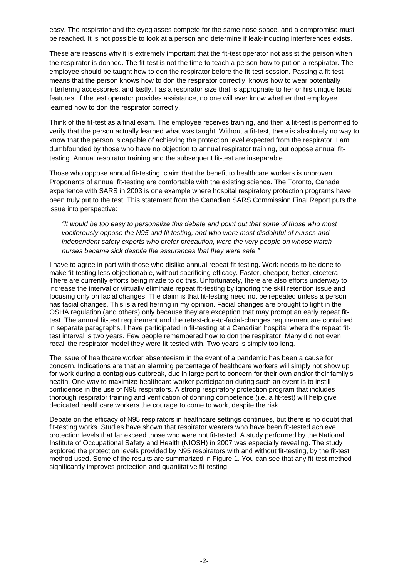easy. The respirator and the eyeglasses compete for the same nose space, and a compromise must be reached. It is not possible to look at a person and determine if leak-inducing interferences exists.

These are reasons why it is extremely important that the fit-test operator not assist the person when the respirator is donned. The fit-test is not the time to teach a person how to put on a respirator. The employee should be taught how to don the respirator before the fit-test session. Passing a fit-test means that the person knows how to don the respirator correctly, knows how to wear potentially interfering accessories, and lastly, has a respirator size that is appropriate to her or his unique facial features. If the test operator provides assistance, no one will ever know whether that employee learned how to don the respirator correctly.

Think of the fit-test as a final exam. The employee receives training, and then a fit-test is performed to verify that the person actually learned what was taught. Without a fit-test, there is absolutely no way to know that the person is capable of achieving the protection level expected from the respirator. I am dumbfounded by those who have no objection to annual respirator training, but oppose annual fittesting. Annual respirator training and the subsequent fit-test are inseparable.

Those who oppose annual fit-testing, claim that the benefit to healthcare workers is unproven. Proponents of annual fit-testing are comfortable with the existing science. The Toronto, Canada experience with SARS in 2003 is one example where hospital respiratory protection programs have been truly put to the test. This statement from the Canadian SARS Commission Final Report puts the issue into perspective:

*"It would be too easy to personalize this debate and point out that some of those who most vociferously oppose the N95 and fit testing, and who were most disdainful of nurses and independent safety experts who prefer precaution, were the very people on whose watch nurses became sick despite the assurances that they were safe."* 

I have to agree in part with those who dislike annual repeat fit-testing. Work needs to be done to make fit-testing less objectionable, without sacrificing efficacy. Faster, cheaper, better, etcetera. There are currently efforts being made to do this. Unfortunately, there are also efforts underway to increase the interval or virtually eliminate repeat fit-testing by ignoring the skill retention issue and focusing only on facial changes. The claim is that fit-testing need not be repeated unless a person has facial changes. This is a red herring in my opinion. Facial changes are brought to light in the OSHA regulation (and others) only because they are exception that may prompt an early repeat fittest. The annual fit-test requirement and the retest-due-to-facial-changes requirement are contained in separate paragraphs. I have participated in fit-testing at a Canadian hospital where the repeat fittest interval is two years. Few people remembered how to don the respirator. Many did not even recall the respirator model they were fit-tested with. Two years is simply too long.

The issue of healthcare worker absenteeism in the event of a pandemic has been a cause for concern. Indications are that an alarming percentage of healthcare workers will simply not show up for work during a contagious outbreak, due in large part to concern for their own and/or their family's health. One way to maximize healthcare worker participation during such an event is to instill confidence in the use of N95 respirators. A strong respiratory protection program that includes thorough respirator training and verification of donning competence (i.e. a fit-test) will help give dedicated healthcare workers the courage to come to work, despite the risk.

Debate on the efficacy of N95 respirators in healthcare settings continues, but there is no doubt that fit-testing works. Studies have shown that respirator wearers who have been fit-tested achieve protection levels that far exceed those who were not fit-tested. A study performed by the National Institute of Occupational Safety and Health (NIOSH) in 2007 was especially revealing. The study explored the protection levels provided by N95 respirators with and without fit-testing, by the fit-test method used. Some of the results are summarized in Figure 1. You can see that any fit-test method significantly improves protection and quantitative fit-testing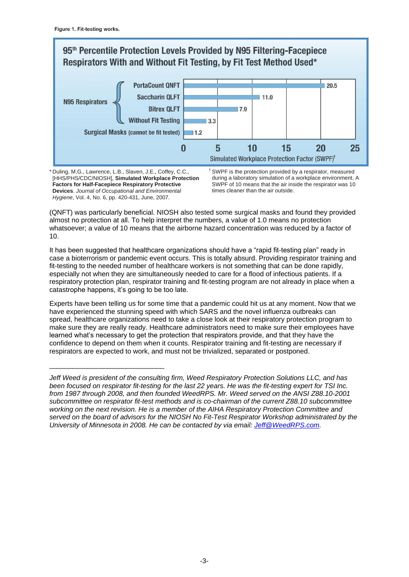

\* Duling, M.G., Lawrence, L.B., Slaven, J.E., Coffey, C.C., [HHS/PHS/CDC/NIOSH], **Simulated Workplace Protection Factors for Half-Facepiece Respiratory Protective Devices**. *Journal of Occupational and Environmental Hygiene*, Vol. 4, No. 6, pp. 420-431, June, 2007.

\_\_\_\_\_\_\_\_\_\_\_\_\_\_\_\_\_\_\_\_\_\_\_\_\_\_\_\_\_\_

† SWPF is the protection provided by a respirator, measured during a laboratory simulation of a workplace environment. A SWPF of 10 means that the air inside the respirator was 10 times cleaner than the air outside.

(QNFT) was particularly beneficial. NIOSH also tested some surgical masks and found they provided almost no protection at all. To help interpret the numbers, a value of 1.0 means no protection whatsoever; a value of 10 means that the airborne hazard concentration was reduced by a factor of 10.

It has been suggested that healthcare organizations should have a "rapid fit-testing plan" ready in case a bioterrorism or pandemic event occurs. This is totally absurd. Providing respirator training and fit-testing to the needed number of healthcare workers is not something that can be done rapidly, especially not when they are simultaneously needed to care for a flood of infectious patients. If a respiratory protection plan, respirator training and fit-testing program are not already in place when a catastrophe happens, it's going to be too late.

Experts have been telling us for some time that a pandemic could hit us at any moment. Now that we have experienced the stunning speed with which SARS and the novel influenza outbreaks can spread, healthcare organizations need to take a close look at their respiratory protection program to make sure they are really ready. Healthcare administrators need to make sure their employees have learned what's necessary to get the protection that respirators provide, and that they have the confidence to depend on them when it counts. Respirator training and fit-testing are necessary if respirators are expected to work, and must not be trivialized, separated or postponed.

*Jeff Weed is president of the consulting firm, Weed Respiratory Protection Solutions LLC, and has been focused on respirator fit-testing for the last 22 years. He was the fit-testing expert for TSI Inc. from 1987 through 2008, and then founded WeedRPS. Mr. Weed served on the ANSI Z88.10-2001 subcommittee on respirator fit-test methods and is co-chairman of the current Z88.10 subcommittee working on the next revision. He is a member of the AIHA Respiratory Protection Committee and served on the board of advisors for the NIOSH No Fit-Test Respirator Workshop administrated by the University of Minnesota in 2008. He can be contacted by via email: [Jeff@WeedRPS.com.](mailto:Jeff@WeedRPS.com)*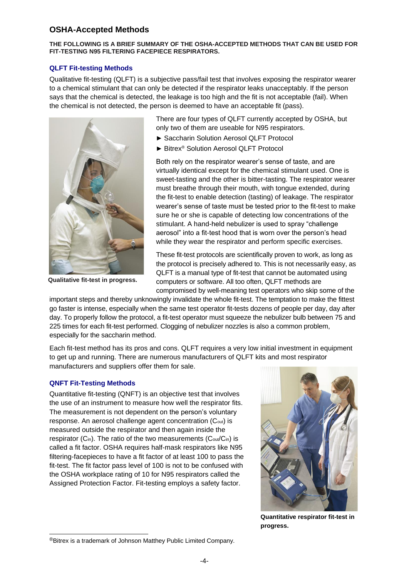### **OSHA-Accepted Methods**

#### **THE FOLLOWING IS A BRIEF SUMMARY OF THE OSHA-ACCEPTED METHODS THAT CAN BE USED FOR FIT-TESTING N95 FILTERING FACEPIECE RESPIRATORS.**

#### **QLFT Fit-testing Methods**

Qualitative fit-testing (QLFT) is a subjective pass/fail test that involves exposing the respirator wearer to a chemical stimulant that can only be detected if the respirator leaks unacceptably. If the person says that the chemical is detected, the leakage is too high and the fit is not acceptable (fail). When the chemical is not detected, the person is deemed to have an acceptable fit (pass).



**Qualitative fit-test in progress.**

There are four types of QLFT currently accepted by OSHA, but only two of them are useable for N95 respirators.

- ► Saccharin Solution Aerosol QLFT Protocol
- ► Bitrex® Solution Aerosol QLFT Protocol

Both rely on the respirator wearer's sense of taste, and are virtually identical except for the chemical stimulant used. One is sweet-tasting and the other is bitter-tasting. The respirator wearer must breathe through their mouth, with tongue extended, during the fit-test to enable detection (tasting) of leakage. The respirator wearer's sense of taste must be tested prior to the fit-test to make sure he or she is capable of detecting low concentrations of the stimulant. A hand-held nebulizer is used to spray "challenge aerosol" into a fit-test hood that is worn over the person's head while they wear the respirator and perform specific exercises.

These fit-test protocols are scientifically proven to work, as long as the protocol is precisely adhered to. This is not necessarily easy, as QLFT is a manual type of fit-test that cannot be automated using computers or software. All too often, QLFT methods are compromised by well-meaning test operators who skip some of the

important steps and thereby unknowingly invalidate the whole fit-test. The temptation to make the fittest go faster is intense, especially when the same test operator fit-tests dozens of people per day, day after day. To properly follow the protocol, a fit-test operator must squeeze the nebulizer bulb between 75 and 225 times for each fit-test performed. Clogging of nebulizer nozzles is also a common problem, especially for the saccharin method.

Each fit-test method has its pros and cons. QLFT requires a very low initial investment in equipment to get up and running. There are numerous manufacturers of QLFT kits and most respirator manufacturers and suppliers offer them for sale.

#### **QNFT Fit-Testing Methods**

-

Quantitative fit-testing (QNFT) is an objective test that involves the use of an instrument to measure how well the respirator fits. The measurement is not dependent on the person's voluntary response. An aerosol challenge agent concentration (Cout) is measured outside the respirator and then again inside the respirator (C<sub>in</sub>). The ratio of the two measurements (C<sub>out</sub>/C<sub>in</sub>) is called a fit factor. OSHA requires half-mask respirators like N95 filtering-facepieces to have a fit factor of at least 100 to pass the fit-test. The fit factor pass level of 100 is not to be confused with the OSHA workplace rating of 10 for N95 respirators called the Assigned Protection Factor. Fit-testing employs a safety factor.



**Quantitative respirator fit-test in progress.**

<sup>®</sup>Bitrex is a trademark of Johnson Matthey Public Limited Company.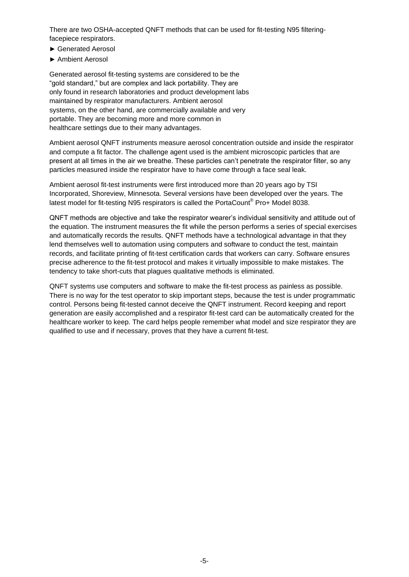There are two OSHA-accepted QNFT methods that can be used for fit-testing N95 filteringfacepiece respirators.

- ► Generated Aerosol
- ► Ambient Aerosol

Generated aerosol fit-testing systems are considered to be the "gold standard," but are complex and lack portability. They are only found in research laboratories and product development labs maintained by respirator manufacturers. Ambient aerosol systems, on the other hand, are commercially available and very portable. They are becoming more and more common in healthcare settings due to their many advantages.

Ambient aerosol QNFT instruments measure aerosol concentration outside and inside the respirator and compute a fit factor. The challenge agent used is the ambient microscopic particles that are present at all times in the air we breathe. These particles can't penetrate the respirator filter, so any particles measured inside the respirator have to have come through a face seal leak.

Ambient aerosol fit-test instruments were first introduced more than 20 years ago by TSI Incorporated, Shoreview, Minnesota. Several versions have been developed over the years. The latest model for fit-testing N95 respirators is called the PortaCount® Pro+ Model 8038.

QNFT methods are objective and take the respirator wearer's individual sensitivity and attitude out of the equation. The instrument measures the fit while the person performs a series of special exercises and automatically records the results. QNFT methods have a technological advantage in that they lend themselves well to automation using computers and software to conduct the test, maintain records, and facilitate printing of fit-test certification cards that workers can carry. Software ensures precise adherence to the fit-test protocol and makes it virtually impossible to make mistakes. The tendency to take short-cuts that plagues qualitative methods is eliminated.

QNFT systems use computers and software to make the fit-test process as painless as possible. There is no way for the test operator to skip important steps, because the test is under programmatic control. Persons being fit-tested cannot deceive the QNFT instrument. Record keeping and report generation are easily accomplished and a respirator fit-test card can be automatically created for the healthcare worker to keep. The card helps people remember what model and size respirator they are qualified to use and if necessary, proves that they have a current fit-test.